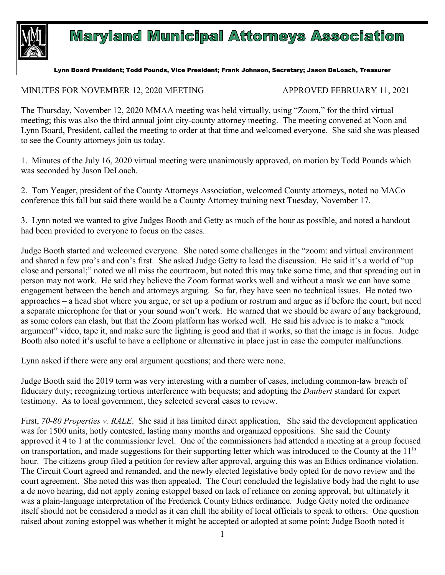

## **Maryland Municipal Attorneys Association**

Lynn Board President; Todd Pounds, Vice President; Frank Johnson, Secretary; Jason DeLoach, Treasurer

MINUTES FOR NOVEMBER 12, 2020 MEETING APPROVED FEBRUARY 11, 2021

The Thursday, November 12, 2020 MMAA meeting was held virtually, using "Zoom," for the third virtual meeting; this was also the third annual joint city-county attorney meeting. The meeting convened at Noon and Lynn Board, President, called the meeting to order at that time and welcomed everyone. She said she was pleased to see the County attorneys join us today.

1. Minutes of the July 16, 2020 virtual meeting were unanimously approved, on motion by Todd Pounds which was seconded by Jason DeLoach.

2. Tom Yeager, president of the County Attorneys Association, welcomed County attorneys, noted no MACo conference this fall but said there would be a County Attorney training next Tuesday, November 17.

3. Lynn noted we wanted to give Judges Booth and Getty as much of the hour as possible, and noted a handout had been provided to everyone to focus on the cases.

Judge Booth started and welcomed everyone. She noted some challenges in the "zoom: and virtual environment and shared a few pro's and con's first. She asked Judge Getty to lead the discussion. He said it's a world of "up close and personal;" noted we all miss the courtroom, but noted this may take some time, and that spreading out in person may not work. He said they believe the Zoom format works well and without a mask we can have some engagement between the bench and attorneys arguing. So far, they have seen no technical issues. He noted two approaches – a head shot where you argue, or set up a podium or rostrum and argue as if before the court, but need a separate microphone for that or your sound won't work. He warned that we should be aware of any background, as some colors can clash, but that the Zoom platform has worked well. He said his advice is to make a "mock argument" video, tape it, and make sure the lighting is good and that it works, so that the image is in focus. Judge Booth also noted it's useful to have a cellphone or alternative in place just in case the computer malfunctions.

Lynn asked if there were any oral argument questions; and there were none.

Judge Booth said the 2019 term was very interesting with a number of cases, including common-law breach of fiduciary duty; recognizing tortious interference with bequests; and adopting the *Daubert* standard for expert testimony. As to local government, they selected several cases to review.

First, *70-80 Properties v. RALE*. She said it has limited direct application, She said the development application was for 1500 units, hotly contested, lasting many months and organized oppositions. She said the County approved it 4 to 1 at the commissioner level. One of the commissioners had attended a meeting at a group focused on transportation, and made suggestions for their supporting letter which was introduced to the County at the 11<sup>th</sup> hour. The citizens group filed a petition for review after approval, arguing this was an Ethics ordinance violation. The Circuit Court agreed and remanded, and the newly elected legislative body opted for de novo review and the court agreement. She noted this was then appealed. The Court concluded the legislative body had the right to use a de novo hearing, did not apply zoning estoppel based on lack of reliance on zoning approval, but ultimately it was a plain-language interpretation of the Frederick County Ethics ordinance. Judge Getty noted the ordinance itself should not be considered a model as it can chill the ability of local officials to speak to others. One question raised about zoning estoppel was whether it might be accepted or adopted at some point; Judge Booth noted it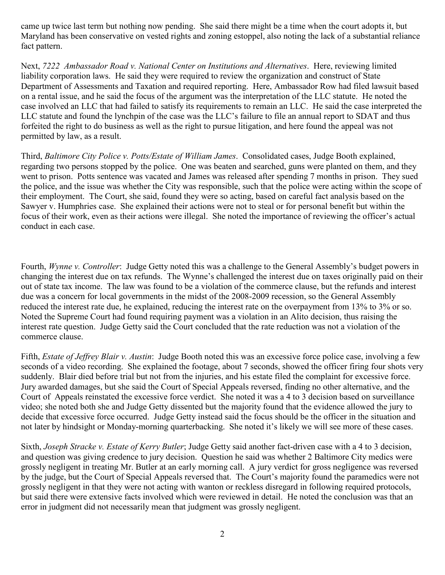came up twice last term but nothing now pending. She said there might be a time when the court adopts it, but Maryland has been conservative on vested rights and zoning estoppel, also noting the lack of a substantial reliance fact pattern.

Next, *7222 Ambassador Road v. National Center on Institutions and Alternatives*. Here, reviewing limited liability corporation laws. He said they were required to review the organization and construct of State Department of Assessments and Taxation and required reporting. Here, Ambassador Row had filed lawsuit based on a rental issue, and he said the focus of the argument was the interpretation of the LLC statute. He noted the case involved an LLC that had failed to satisfy its requirements to remain an LLC. He said the case interpreted the LLC statute and found the lynchpin of the case was the LLC's failure to file an annual report to SDAT and thus forfeited the right to do business as well as the right to pursue litigation, and here found the appeal was not permitted by law, as a result.

Third, *Baltimore City Police v. Potts/Estate of William James*. Consolidated cases, Judge Booth explained, regarding two persons stopped by the police. One was beaten and searched, guns were planted on them, and they went to prison. Potts sentence was vacated and James was released after spending 7 months in prison. They sued the police, and the issue was whether the City was responsible, such that the police were acting within the scope of their employment. The Court, she said, found they were so acting, based on careful fact analysis based on the Sawyer v. Humphries case. She explained their actions were not to steal or for personal benefit but within the focus of their work, even as their actions were illegal. She noted the importance of reviewing the officer's actual conduct in each case.

Fourth, *Wynne v. Controller*: Judge Getty noted this was a challenge to the General Assembly's budget powers in changing the interest due on tax refunds. The Wynne's challenged the interest due on taxes originally paid on their out of state tax income. The law was found to be a violation of the commerce clause, but the refunds and interest due was a concern for local governments in the midst of the 2008-2009 recession, so the General Assembly reduced the interest rate due, he explained, reducing the interest rate on the overpayment from 13% to 3% or so. Noted the Supreme Court had found requiring payment was a violation in an Alito decision, thus raising the interest rate question. Judge Getty said the Court concluded that the rate reduction was not a violation of the commerce clause.

Fifth, *Estate of Jeffrey Blair v. Austin*: Judge Booth noted this was an excessive force police case, involving a few seconds of a video recording. She explained the footage, about 7 seconds, showed the officer firing four shots very suddenly. Blair died before trial but not from the injuries, and his estate filed the complaint for excessive force. Jury awarded damages, but she said the Court of Special Appeals reversed, finding no other alternative, and the Court of Appeals reinstated the excessive force verdict. She noted it was a 4 to 3 decision based on surveillance video; she noted both she and Judge Getty dissented but the majority found that the evidence allowed the jury to decide that excessive force occurred. Judge Getty instead said the focus should be the officer in the situation and not later by hindsight or Monday-morning quarterbacking. She noted it's likely we will see more of these cases.

Sixth, *Joseph Stracke v. Estate of Kerry Butler*; Judge Getty said another fact-driven case with a 4 to 3 decision, and question was giving credence to jury decision. Question he said was whether 2 Baltimore City medics were grossly negligent in treating Mr. Butler at an early morning call. A jury verdict for gross negligence was reversed by the judge, but the Court of Special Appeals reversed that. The Court's majority found the paramedics were not grossly negligent in that they were not acting with wanton or reckless disregard in following required protocols, but said there were extensive facts involved which were reviewed in detail. He noted the conclusion was that an error in judgment did not necessarily mean that judgment was grossly negligent.